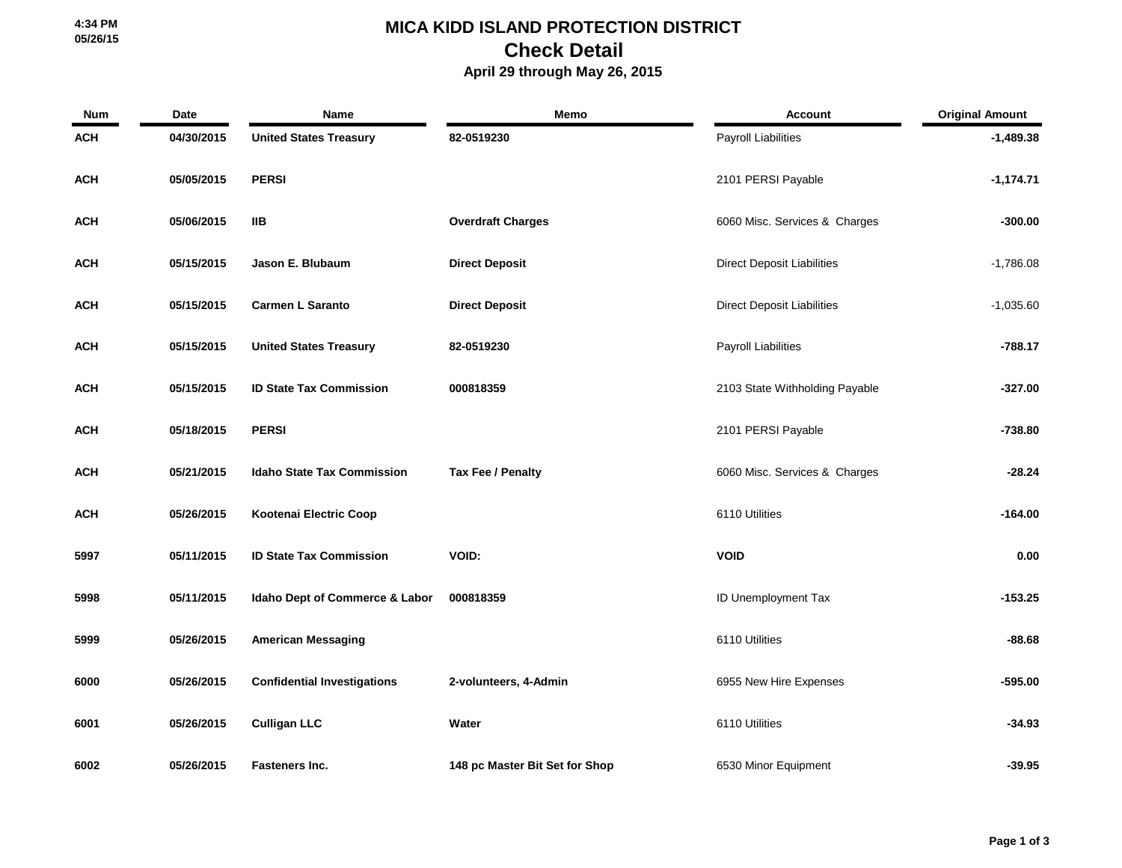## **MICA KIDD ISLAND PROTECTION DISTRICT Check Detail**

 **April 29 through May 26, 2015**

| <b>Num</b> | Date       | Name                               | Memo                           | <b>Account</b>                    | <b>Original Amount</b> |
|------------|------------|------------------------------------|--------------------------------|-----------------------------------|------------------------|
| <b>ACH</b> | 04/30/2015 | <b>United States Treasury</b>      | 82-0519230                     | <b>Payroll Liabilities</b>        | $-1,489.38$            |
| <b>ACH</b> | 05/05/2015 | <b>PERSI</b>                       |                                | 2101 PERSI Payable                | $-1,174.71$            |
| <b>ACH</b> | 05/06/2015 | <b>IIB</b>                         | <b>Overdraft Charges</b>       | 6060 Misc. Services & Charges     | $-300.00$              |
| <b>ACH</b> | 05/15/2015 | Jason E. Blubaum                   | <b>Direct Deposit</b>          | <b>Direct Deposit Liabilities</b> | $-1,786.08$            |
| <b>ACH</b> | 05/15/2015 | <b>Carmen L Saranto</b>            | <b>Direct Deposit</b>          | <b>Direct Deposit Liabilities</b> | $-1,035.60$            |
| <b>ACH</b> | 05/15/2015 | <b>United States Treasury</b>      | 82-0519230                     | <b>Payroll Liabilities</b>        | $-788.17$              |
| ACH        | 05/15/2015 | <b>ID State Tax Commission</b>     | 000818359                      | 2103 State Withholding Payable    | $-327.00$              |
| <b>ACH</b> | 05/18/2015 | <b>PERSI</b>                       |                                | 2101 PERSI Payable                | -738.80                |
| ACH        | 05/21/2015 | <b>Idaho State Tax Commission</b>  | Tax Fee / Penalty              | 6060 Misc. Services & Charges     | $-28.24$               |
| <b>ACH</b> | 05/26/2015 | Kootenai Electric Coop             |                                | 6110 Utilities                    | $-164.00$              |
| 5997       | 05/11/2015 | <b>ID State Tax Commission</b>     | <b>VOID:</b>                   | <b>VOID</b>                       | 0.00                   |
| 5998       | 05/11/2015 | Idaho Dept of Commerce & Labor     | 000818359                      | ID Unemployment Tax               | $-153.25$              |
| 5999       | 05/26/2015 | <b>American Messaging</b>          |                                | 6110 Utilities                    | $-88.68$               |
| 6000       | 05/26/2015 | <b>Confidential Investigations</b> | 2-volunteers, 4-Admin          | 6955 New Hire Expenses            | $-595.00$              |
| 6001       | 05/26/2015 | <b>Culligan LLC</b>                | Water                          | 6110 Utilities                    | $-34.93$               |
| 6002       | 05/26/2015 | Fasteners Inc.                     | 148 pc Master Bit Set for Shop | 6530 Minor Equipment              | $-39.95$               |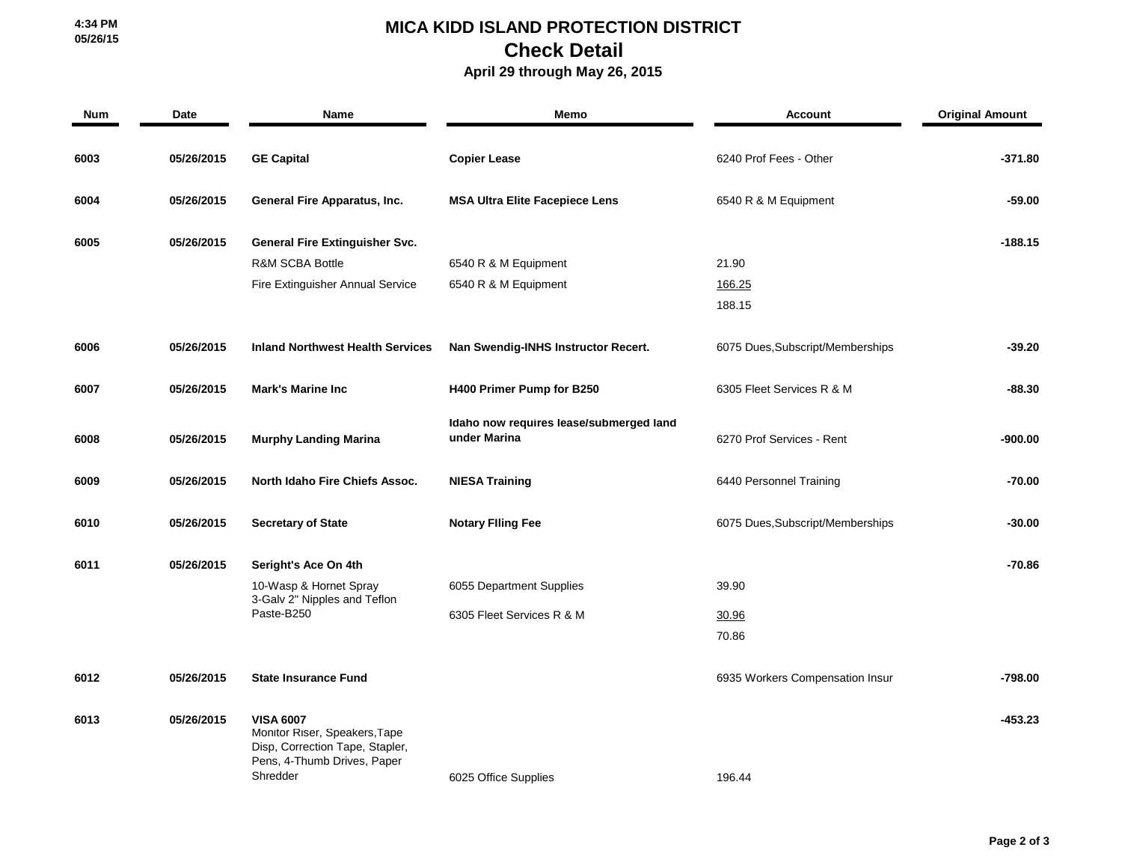## **MICA KIDD ISLAND PROTECTION DISTRICT Check Detail**

## **April 29 through May 26, 2015**

| Num  | Date       | <b>Name</b>                                                                                                                     | <b>Memo</b>                                             | <b>Account</b>                   | <b>Original Amount</b> |
|------|------------|---------------------------------------------------------------------------------------------------------------------------------|---------------------------------------------------------|----------------------------------|------------------------|
| 6003 | 05/26/2015 | <b>GE Capital</b>                                                                                                               | <b>Copier Lease</b>                                     | 6240 Prof Fees - Other           | $-371.80$              |
| 6004 | 05/26/2015 | General Fire Apparatus, Inc.                                                                                                    | <b>MSA Ultra Elite Facepiece Lens</b>                   | 6540 R & M Equipment             | $-59.00$               |
| 6005 | 05/26/2015 | General Fire Extinguisher Svc.                                                                                                  |                                                         |                                  | $-188.15$              |
|      |            | <b>R&amp;M SCBA Bottle</b>                                                                                                      | 6540 R & M Equipment                                    | 21.90                            |                        |
|      |            | Fire Extinguisher Annual Service                                                                                                | 6540 R & M Equipment                                    | 166.25                           |                        |
|      |            |                                                                                                                                 |                                                         | 188.15                           |                        |
| 6006 | 05/26/2015 | <b>Inland Northwest Health Services</b>                                                                                         | Nan Swendig-INHS Instructor Recert.                     | 6075 Dues, Subscript/Memberships | $-39.20$               |
| 6007 | 05/26/2015 | <b>Mark's Marine Inc</b>                                                                                                        | H400 Primer Pump for B250                               | 6305 Fleet Services R & M        | -88.30                 |
| 6008 | 05/26/2015 | <b>Murphy Landing Marina</b>                                                                                                    | Idaho now requires lease/submerged land<br>under Marina | 6270 Prof Services - Rent        | -900.00                |
| 6009 | 05/26/2015 | North Idaho Fire Chiefs Assoc.                                                                                                  | <b>NIESA Training</b>                                   | 6440 Personnel Training          | -70.00                 |
| 6010 | 05/26/2015 | <b>Secretary of State</b>                                                                                                       | <b>Notary Filing Fee</b>                                | 6075 Dues, Subscript/Memberships | $-30.00$               |
| 6011 | 05/26/2015 | Seright's Ace On 4th                                                                                                            |                                                         |                                  | -70.86                 |
|      |            | 10-Wasp & Hornet Spray<br>3-Galv 2" Nipples and Teflon<br>Paste-B250                                                            | 6055 Department Supplies                                | 39.90                            |                        |
|      |            |                                                                                                                                 | 6305 Fleet Services R & M                               | 30.96                            |                        |
|      |            |                                                                                                                                 |                                                         | 70.86                            |                        |
| 6012 | 05/26/2015 | <b>State Insurance Fund</b>                                                                                                     |                                                         | 6935 Workers Compensation Insur  | $-798.00$              |
| 6013 | 05/26/2015 | <b>VISA 6007</b><br>Monitor Riser, Speakers, Tape<br>Disp, Correction Tape, Stapler,<br>Pens, 4-Thumb Drives, Paper<br>Shredder | 6025 Office Supplies                                    | 196.44                           | $-453.23$              |